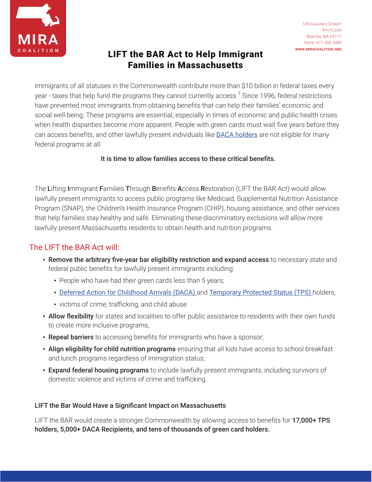

## LIFT the BAR Act to Help Immigrant Families in Massachusetts

Immigrants of all statuses in the Commonwealth contribute more than \$10 billion in federal taxes every year - taxes that help fund the programs they cannot currently access.<sup>1</sup> Since 1996, federal restrictions have prevented most immigrants from obtaining benefits that can help their families' economic and social well-being. These programs are essential, especially in times of economic and public health crises when health disparities become more apparent. People with green cards must wait five years before they can access benefits, and other lawfully present individuals like [DACA holders](https://miracoalition.org/our-work/dreamers/) are not eligible for many federal programs at all.

#### It is time to allow families access to these critical benefits.

The Lifting Immigrant Families Through Benefits Access Restoration (LIFT the BAR Act) would allow lawfully present immigrants to access public programs like Medicaid, Supplemental Nutrition Assistance Program (SNAP), the Children's Health Insurance Program (CHIP), housing assistance, and other services that help families stay healthy and safe. Eliminating these discriminatory exclusions will allow more lawfully present Massachusetts residents to obtain health and nutrition programs.

## The LIFT the BAR Act will:

- Remove the arbitrary five-year bar eligibility restriction and expand access to necessary state and federal public benefits for lawfully present immigrants including:
	- People who have had their green cards less than 5 years;
	- [Deferred Action for Childhood Arrivals \(DACA\)](https://www.miracoalition.org/our-work/dreamers/) and [Temporary Protected Status \(TPS\)](https://miracoalition.org/wp-content/uploads/2021/06/MIRA-TPS-Factsheet-May-2021-V2.pdf) holders;
	- victims of crime, trafficking, and child abuse
- Allow flexibility for states and localities to offer public assistance to residents with their own funds to create more inclusive programs;
- Repeal barriers to accessing benefits for immigrants who have a sponsor;
- Align eligibility for child nutrition programs ensuring that all kids have access to school breakfast and lunch programs regardless of immigration status;
- Expand federal housing programs to include lawfully present immigrants, including survivors of domestic violence and victims of crime and trafficking.

### LIFT the Bar Would Have a Significant Impact on Massachusetts

LIFT the BAR would create a stronger Commonwealth by allowing access to benefits for 17,000+ TPS holders, 5,000+ DACA Recipients, and tens of thousands of green card holders.